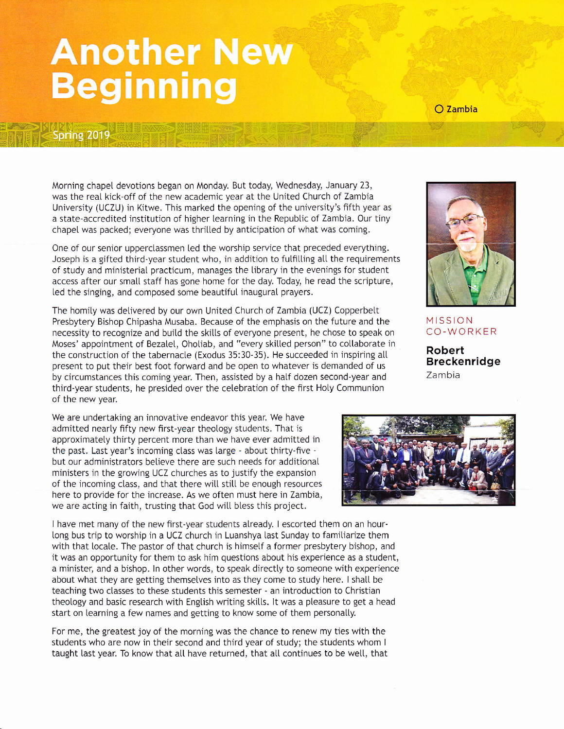## **Another New Beginning**

Spring 2019

O Zambia

Morning chapel devotions began on Monday. But today, Wednesday, January 23, was the real kick-off of the new academjc year at the Unjted Church of Zambia University (UCZU) in Kitwe. This marked the opening of the university's fifth year as a state-accredited institution of hlgher learnjng in the Republic of Zambia. Our tiny chapel was packed; everyone was thrilled by anticipation of what was coming.

One of our senior upperclassmen led the worship service that preceded everything. Joseph is a gifted third-year student who, in addition to fulfilling all the requirements of study and ministerial practicum, manages the library in the evenings for student access after our small staff has gone home for the day. Today, he read the scripture, led the singing, and composed some beautiful inaugural prayers.

The homily was detivered by our own United Church of Zambia (UCZ) Copperbett Presbytery Bishop Chipasha Musaba. Because of the emphasis on the future and the necessity to recognize and build the skills of everyone present, he chose to speak on Moses' appointment of Bezalel, Oholiab, and "every skilled person" to collaborate in the construction of the tabernacle (Exodus 35:30-35). He succeeded in inspiring all present to put their best foot forward and be open to whatever js demanded of us by circumstances this coming year. Then, assjsted by a hatf dozen second-year and third-year students, he presided over the ceLebration of the first Hoty Communion of the new year.

We are undertaking an jnnovative endeavor this year. We have admitted nearly fifty new first-year theology students. That is approximately thirty percent more than we have ever admitted in the past. Last year's incoming class was large - about thirty-five but our administrators betieve there are such needs for additional ministers in the growing UCZ churches as to justify the expansion of the incoming class, and that there will still be enough resources here to provide for the increase. As we often must here in Zambia, we are acting in faith, trusting that God wilt bless this project.

I have met many of the new first-year students atready. I escorted them on an hourlong bus trip to worship in a UCZ church in Luanshya last Sunday to famitiarize them with that locale. The pastor of that church is himself a former presbytery bishop, and it was an opportunity for them to ask him questions about his experience as a student, a minister, and a bishop. In other words, to speak directly to someone with experience about what they are getting themselves into as they come to study here. I shall be teaching two classes to these students this semester - an introduction to Christian theology and basic research with English writing skills. It was a pleasure to get a head start on learning a few names and getting to know some of them personally.

For me, the greatest joy of the morning was the chance to renew my ties with the students who are now in their second and third year of study; the students whom <sup>I</sup> taught last year. To know that all have returned, that all continues to be well, that



MISSION CO-WORKER

Robert Breckenridge Zambia